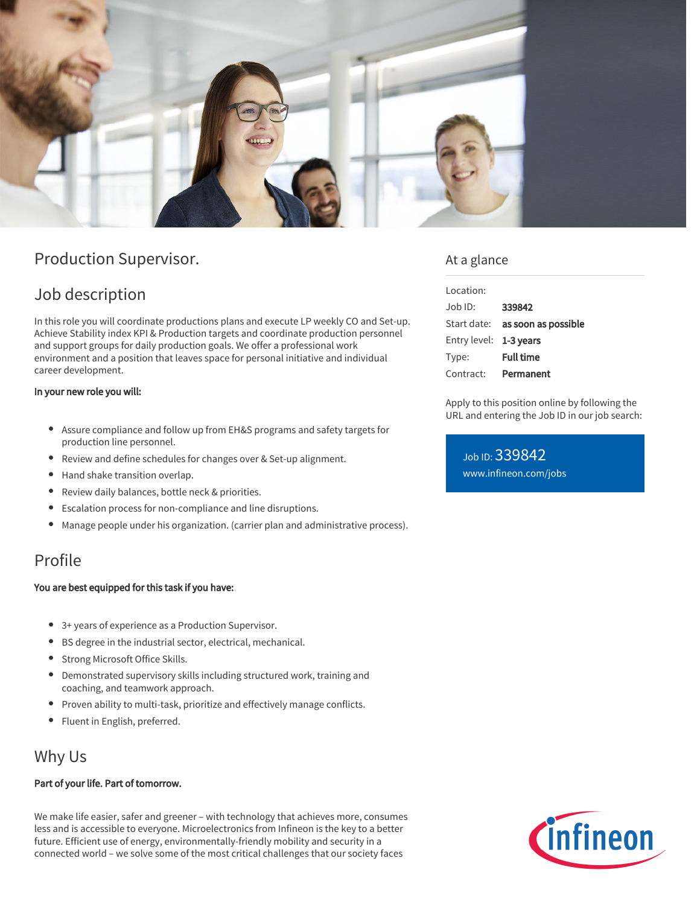

# Production Supervisor.

# Job description

In this role you will coordinate productions plans and execute LP weekly CO and Set-up. Achieve Stability index KPI & Production targets and coordinate production personnel and support groups for daily production goals. We offer a professional work environment and a position that leaves space for personal initiative and individual career development.

#### In your new role you will:

- Assure compliance and follow up from EH&S programs and safety targets for production line personnel.
- Review and define schedules for changes over & Set-up alignment.
- Hand shake transition overlap.
- Review daily balances, bottle neck & priorities.  $\bullet$
- Escalation process for non-compliance and line disruptions.
- Manage people under his organization. (carrier plan and administrative process).

## Profile

#### You are best equipped for this task if you have:

- 3+ years of experience as a Production Supervisor.
- BS degree in the industrial sector, electrical, mechanical.
- Strong Microsoft Office Skills.
- Demonstrated supervisory skills including structured work, training and coaching, and teamwork approach.
- Proven ability to multi-task, prioritize and effectively manage conflicts.
- Fluent in English, preferred.

## Why Us

#### Part of your life. Part of tomorrow.

We make life easier, safer and greener – with technology that achieves more, consumes less and is accessible to everyone. Microelectronics from Infineon is the key to a better future. Efficient use of energy, environmentally-friendly mobility and security in a connected world – we solve some of the most critical challenges that our society faces

### At a glance

| Location:              |                                 |
|------------------------|---------------------------------|
| .lob ID:               | 339842                          |
|                        | Start date: as soon as possible |
| Entry level: 1-3 years |                                 |
| Type:                  | <b>Full time</b>                |
| Contract:              | Permanent                       |

Apply to this position online by following the URL and entering the Job ID in our job search:

Job ID: 339842 [www.infineon.com/jobs](https://www.infineon.com/jobs)